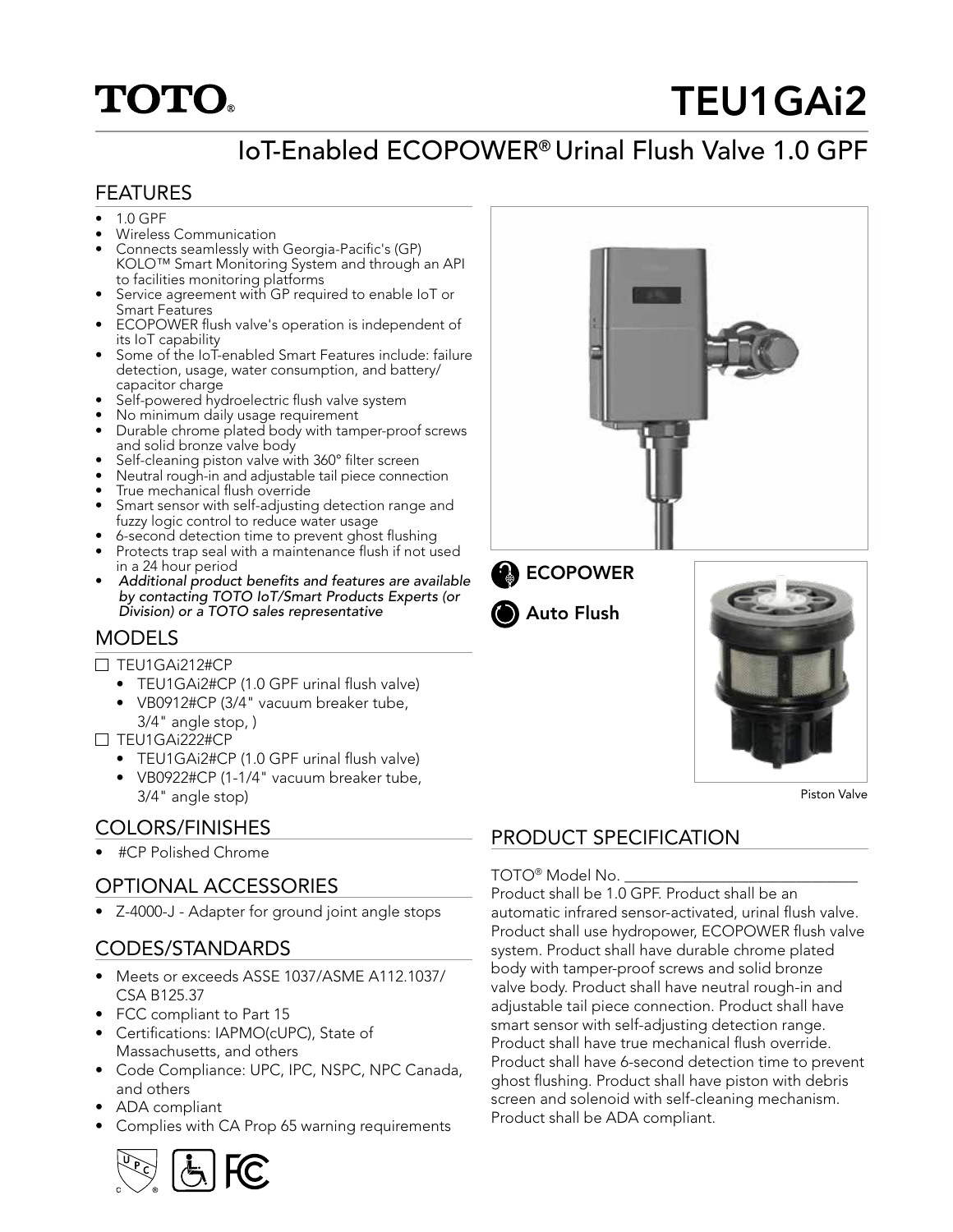# **TOTO**

# TEU1GAi2

## IoT-Enabled ECOPOWER® Urinal Flush Valve 1.0 GPF

#### FEATURES

- $1.0 GPF$
- Wireless Communication
- Connects seamlessly with Georgia-Pacific's (GP) KOLO™ Smart Monitoring System and through an API to facilities monitoring platforms
- Service agreement with GP required to enable IoT or Smart Features
- ECOPOWER flush valve's operation is independent of its IoT capability
- Some of the IoT-enabled Smart Features include: failure detection, usage, water consumption, and battery/ capacitor charge
- Self-powered hydroelectric flush valve system
- No minimum daily usage requirement
- Durable chrome plated body with tamper-proof screws and solid bronze valve body
- Self-cleaning piston valve with 360° filter screen
- Neutral rough-in and adjustable tail piece connection
- True mechanical flush override
- Smart sensor with self-adjusting detection range and fuzzy logic control to reduce water usage
- 6-second detection time to prevent ghost flushing
- Protects trap seal with a maintenance flush if not used in a 24 hour period
- Additional product benefits and features are available by contacting TOTO IoT/Smart Products Experts (or Division) or a TOTO sales representative

#### **MODELS**

- $\Box$  TEU1GAi212#CP
	- TEU1GAi2#CP (1.0 GPF urinal flush valve)
	- VB0912#CP (3/4" vacuum breaker tube, 3/4" angle stop, )

 $\Box$  TEU1GAi222#CP

- TEU1GAi2#CP (1.0 GPF urinal flush valve)
- VB0922#CP (1-1/4" vacuum breaker tube, 3/4" angle stop)

• #CP Polished Chrome

### OPTIONAL ACCESSORIES

• Z-4000-J - Adapter for ground joint angle stops

#### CODES/STANDARDS

- Meets or exceeds ASSE 1037/ASME A112.1037/ CSA B125.37
- FCC compliant to Part 15
- Certifications: IAPMO(cUPC), State of Massachusetts, and others
- Code Compliance: UPC, IPC, NSPC, NPC Canada, and others
- ADA compliant
- Complies with CA Prop 65 warning requirements









Piston Valve

### COLORS/FINISHES PRODUCT SPECIFICATION

#### TOTO® Model No.

Product shall be 1.0 GPF. Product shall be an automatic infrared sensor-activated, urinal flush valve. Product shall use hydropower, ECOPOWER flush valve system. Product shall have durable chrome plated body with tamper-proof screws and solid bronze valve body. Product shall have neutral rough-in and adjustable tail piece connection. Product shall have smart sensor with self-adjusting detection range. Product shall have true mechanical flush override. Product shall have 6-second detection time to prevent ghost flushing. Product shall have piston with debris screen and solenoid with self-cleaning mechanism. Product shall be ADA compliant.